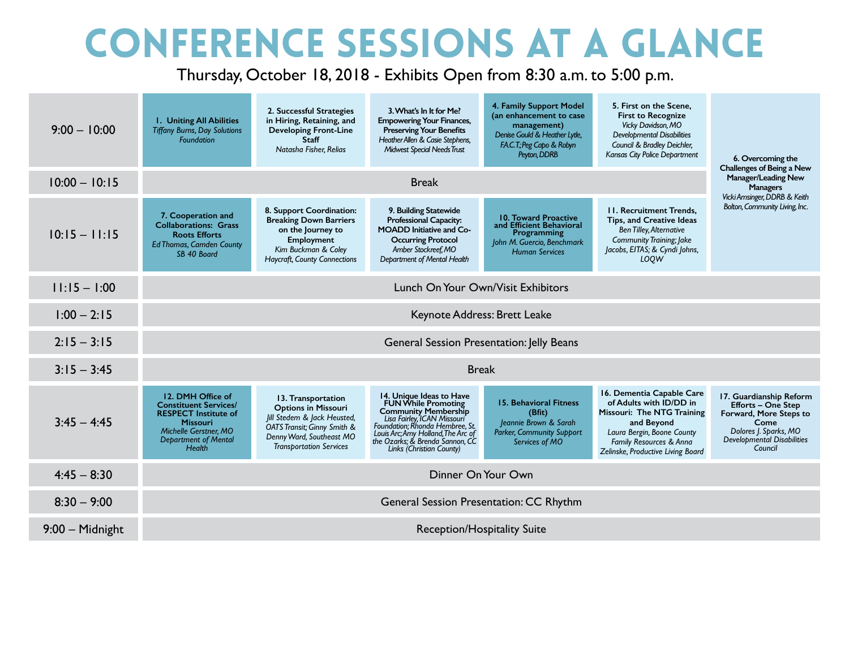## Conference Sessions At A Glance

Thursday, October 18, 2018 - Exhibits Open from 8:30 a.m. to 5:00 p.m.

| $9:00 - 10:00$    | <b>I. Uniting All Abilities</b><br><b>Tiffany Burns, Day Solutions</b><br><b>Foundation</b>                                                                                  | 2. Successful Strategies<br>in Hiring, Retaining, and<br><b>Developing Front-Line</b><br><b>Staff</b><br>Natasha Fisher, Relias                                              | 3. What's In It for Me?<br><b>Empowering Your Finances,</b><br><b>Preserving Your Benefits</b><br>Heather Allen & Casie Stephens,<br><b>Midwest Special Needs Trust</b>                                                                               | 4. Family Support Model<br>(an enhancement to case<br>management)<br>Denise Gould & Heather Lytle,<br>F.A.C.T.; Peg Capo & Robyn<br>Peyton, DDRB | 5. First on the Scene.<br><b>First to Recognize</b><br>Vicky Davidson, MO<br><b>Developmental Disabilities</b><br>Council & Bradley Deichler,<br>Kansas City Police Department                 | 6. Overcoming the<br>Challenges of Being a New                                                                                                                  |  |  |
|-------------------|------------------------------------------------------------------------------------------------------------------------------------------------------------------------------|------------------------------------------------------------------------------------------------------------------------------------------------------------------------------|-------------------------------------------------------------------------------------------------------------------------------------------------------------------------------------------------------------------------------------------------------|--------------------------------------------------------------------------------------------------------------------------------------------------|------------------------------------------------------------------------------------------------------------------------------------------------------------------------------------------------|-----------------------------------------------------------------------------------------------------------------------------------------------------------------|--|--|
| $10:00 - 10:15$   |                                                                                                                                                                              | <b>Manager/Leading New</b><br><b>Managers</b>                                                                                                                                |                                                                                                                                                                                                                                                       |                                                                                                                                                  |                                                                                                                                                                                                |                                                                                                                                                                 |  |  |
| $10:15 - 11:15$   | 7. Cooperation and<br><b>Collaborations: Grass</b><br><b>Roots Efforts</b><br><b>Ed Thomas, Camden County</b><br>SB 40 Board                                                 | 8. Support Coordination:<br><b>Breaking Down Barriers</b><br>on the Journey to<br><b>Employment</b><br>Kim Buckman & Coley<br><b>Haycraft, County Connections</b>            | 9. Building Statewide<br><b>Professional Capacity:</b><br><b>MOADD</b> Initiative and Co-<br><b>Occurring Protocol</b><br>Amber Stockreef, MO<br>Department of Mental Health                                                                          | 10. Toward Proactive<br>and Efficient Behavioral<br>Programming<br>John M. Guercio, Benchmark<br><b>Human Services</b>                           | <b>11. Recruitment Trends.</b><br>Tips, and Creative Ideas<br><b>Ben Tilley, Alternative</b><br><b>Community Training; Jake</b><br>Jacobs, EITAS; & Cyndi Johns,<br>LOOW                       | Vicki Amsinger, DDRB & Keith<br>Bolton, Community Living, Inc.                                                                                                  |  |  |
| $11:15 - 1:00$    | Lunch On Your Own/Visit Exhibitors                                                                                                                                           |                                                                                                                                                                              |                                                                                                                                                                                                                                                       |                                                                                                                                                  |                                                                                                                                                                                                |                                                                                                                                                                 |  |  |
| $1:00 - 2:15$     | Keynote Address: Brett Leake                                                                                                                                                 |                                                                                                                                                                              |                                                                                                                                                                                                                                                       |                                                                                                                                                  |                                                                                                                                                                                                |                                                                                                                                                                 |  |  |
| $2:15 - 3:15$     | General Session Presentation: Jelly Beans                                                                                                                                    |                                                                                                                                                                              |                                                                                                                                                                                                                                                       |                                                                                                                                                  |                                                                                                                                                                                                |                                                                                                                                                                 |  |  |
| $3:15 - 3:45$     | <b>Break</b>                                                                                                                                                                 |                                                                                                                                                                              |                                                                                                                                                                                                                                                       |                                                                                                                                                  |                                                                                                                                                                                                |                                                                                                                                                                 |  |  |
| $3:45 - 4:45$     | 12. DMH Office of<br><b>Constituent Services/</b><br><b>RESPECT Institute of</b><br><b>Missouri</b><br>Michelle Gerstner, MO<br><b>Department of Mental</b><br><b>Health</b> | 13. Transportation<br><b>Options in Missouri</b><br>Jill Stedem & Jack Heusted,<br>OATS Transit; Ginny Smith &<br>Denny Ward, Southeast MO<br><b>Transportation Services</b> | 14. Unique Ideas to Have<br>FUN While Promoting<br><b>Community Membership</b><br>Lisa Fairley, ICAN Missouri<br>Foundation; Rhonda Hembree, St.<br>Louis Arc; Amy Holland, The Arc of<br>the Ozarks; & Brenda Sannon, CC<br>Links (Christian County) | <b>15. Behavioral Fitness</b><br>(Bfit)<br>Jeannie Brown & Sarah<br><b>Parker, Community Support</b><br>Services of MO                           | 16. Dementia Capable Care<br>of Adults with ID/DD in<br>Missouri: The NTG Training<br>and Beyond<br>Laura Bergin, Boone County<br>Family Resources & Anna<br>Zelinske, Productive Living Board | 17. Guardianship Reform<br><b>Efforts - One Step</b><br>Forward, More Steps to<br>Come<br>Dolores J. Sparks, MO<br><b>Developmental Disabilities</b><br>Council |  |  |
| $4:45 - 8:30$     | Dinner On Your Own                                                                                                                                                           |                                                                                                                                                                              |                                                                                                                                                                                                                                                       |                                                                                                                                                  |                                                                                                                                                                                                |                                                                                                                                                                 |  |  |
| $8:30 - 9:00$     | General Session Presentation: CC Rhythm                                                                                                                                      |                                                                                                                                                                              |                                                                                                                                                                                                                                                       |                                                                                                                                                  |                                                                                                                                                                                                |                                                                                                                                                                 |  |  |
| $9:00$ - Midnight | Reception/Hospitality Suite                                                                                                                                                  |                                                                                                                                                                              |                                                                                                                                                                                                                                                       |                                                                                                                                                  |                                                                                                                                                                                                |                                                                                                                                                                 |  |  |